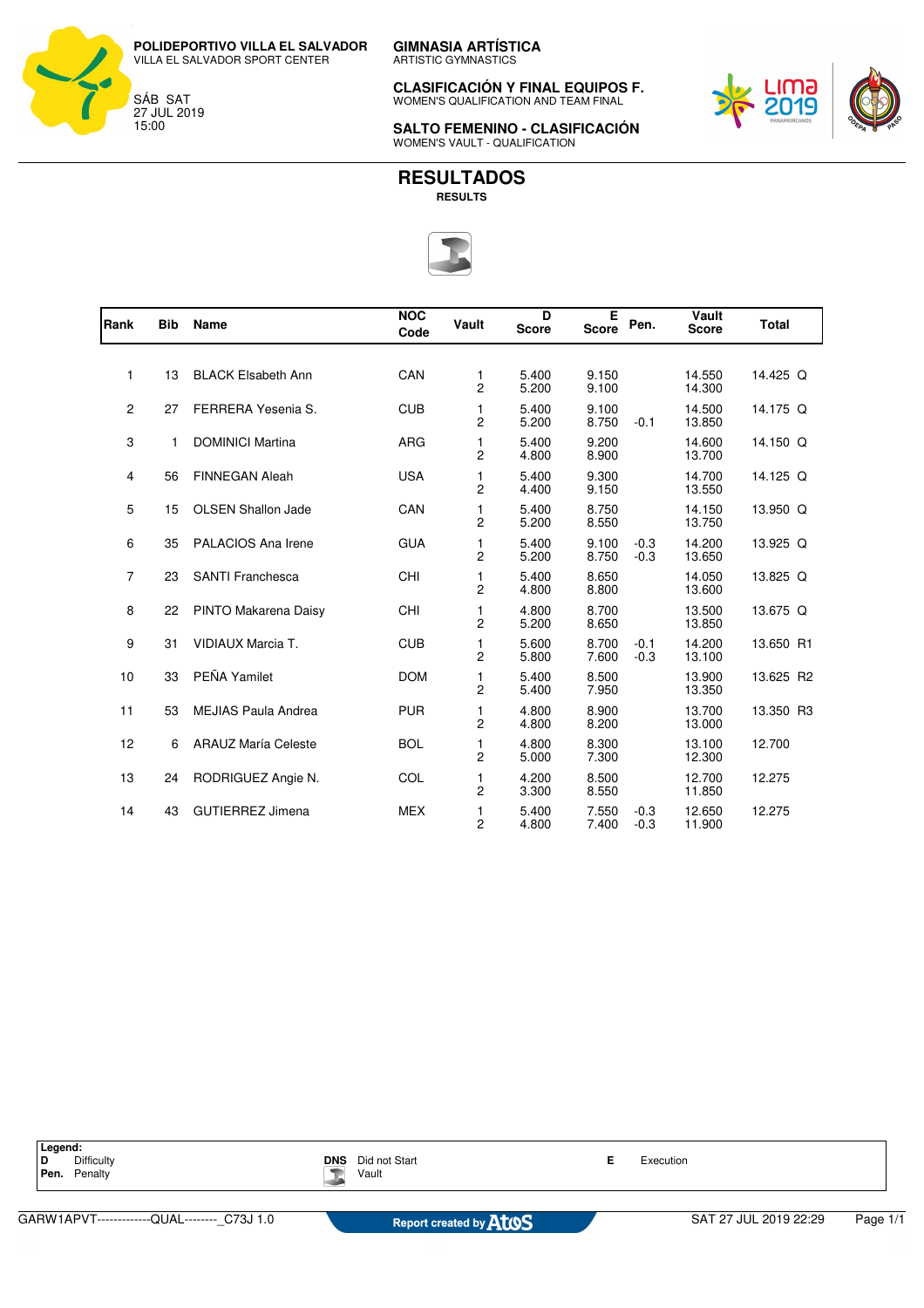**GIMNASIA ARTÍSTICA** ARTISTIC GYMNASTICS **POLIDEPORTIVO VILLA EL SALVADOR**

VILLA EL SALVADOR SPORT CENTER

SÁB SAT 27 JUL 2019 15:00

**CLASIFICACIÓN Y FINAL EQUIPOS F.** WOMEN'S QUALIFICATION AND TEAM FINAL



**SALTO FEMENINO - CLASIFICACIÓN** WOMEN'S VAULT - QUALIFICATION



| Rank           | <b>Bib</b> | <b>Name</b>                | <b>NOC</b><br>Code | Vault               | D<br><b>Score</b> | E<br><b>Score</b> | Pen.             | Vault<br><b>Score</b> | <b>Total</b> |
|----------------|------------|----------------------------|--------------------|---------------------|-------------------|-------------------|------------------|-----------------------|--------------|
| 1              | 13         | <b>BLACK Elsabeth Ann</b>  | CAN                | 1                   | 5.400             | 9.150             |                  | 14.550                | 14.425 Q     |
|                |            |                            |                    | $\overline{c}$      | 5.200             | 9.100             |                  | 14.300                |              |
| $\overline{2}$ | 27         | FERRERA Yesenia S.         | <b>CUB</b>         | 1<br>2              | 5.400<br>5.200    | 9.100<br>8.750    | $-0.1$           | 14.500<br>13.850      | 14.175 Q     |
| 3              | 1          | <b>DOMINICI Martina</b>    | <b>ARG</b>         | 1<br>2              | 5.400<br>4.800    | 9.200<br>8.900    |                  | 14.600<br>13.700      | 14.150 Q     |
| 4              | 56         | <b>FINNEGAN Aleah</b>      | <b>USA</b>         | 1<br>2              | 5.400<br>4.400    | 9.300<br>9.150    |                  | 14.700<br>13.550      | 14.125 Q     |
| 5              | 15         | <b>OLSEN Shallon Jade</b>  | CAN                | 1<br>2              | 5.400<br>5.200    | 8.750<br>8.550    |                  | 14.150<br>13.750      | 13.950 Q     |
| 6              | 35         | PALACIOS Ana Irene         | <b>GUA</b>         | 1<br>$\overline{2}$ | 5.400<br>5.200    | 9.100<br>8.750    | $-0.3$<br>$-0.3$ | 14.200<br>13.650      | 13.925 Q     |
| $\overline{7}$ | 23         | <b>SANTI Franchesca</b>    | CHI                | 1<br>2              | 5.400<br>4.800    | 8.650<br>8.800    |                  | 14.050<br>13.600      | 13.825 Q     |
| 8              | 22         | PINTO Makarena Daisy       | CHI                | 1<br>$\overline{2}$ | 4.800<br>5.200    | 8.700<br>8.650    |                  | 13.500<br>13.850      | 13.675 Q     |
| 9              | 31         | <b>VIDIAUX Marcia T.</b>   | <b>CUB</b>         | 1<br>$\overline{2}$ | 5.600<br>5.800    | 8.700<br>7.600    | $-0.1$<br>$-0.3$ | 14.200<br>13.100      | 13.650 R1    |
| 10             | 33         | PEÑA Yamilet               | <b>DOM</b>         | 1<br>2              | 5.400<br>5.400    | 8.500<br>7.950    |                  | 13.900<br>13.350      | 13.625 R2    |
| 11             | 53         | <b>MEJIAS Paula Andrea</b> | <b>PUR</b>         | 1<br>2              | 4.800<br>4.800    | 8.900<br>8.200    |                  | 13.700<br>13.000      | 13.350 R3    |
| 12             | 6          | <b>ARAUZ María Celeste</b> | <b>BOL</b>         | 1<br>2              | 4.800<br>5.000    | 8.300<br>7.300    |                  | 13.100<br>12.300      | 12.700       |
| 13             | 24         | RODRIGUEZ Angie N.         | COL                | 1<br>2              | 4.200<br>3.300    | 8.500<br>8.550    |                  | 12.700<br>11.850      | 12.275       |
| 14             | 43         | <b>GUTIERREZ Jimena</b>    | <b>MEX</b>         | 1<br>2              | 5.400<br>4.800    | 7.550<br>7.400    | $-0.3$<br>$-0.3$ | 12.650<br>11.900      | 12.275       |

|  | Legend:<br>D<br>Pen. | Difficulty<br>Penalty | <b>DNS</b><br>T. | Did not Start<br>Vault |  | Execution |
|--|----------------------|-----------------------|------------------|------------------------|--|-----------|
|--|----------------------|-----------------------|------------------|------------------------|--|-----------|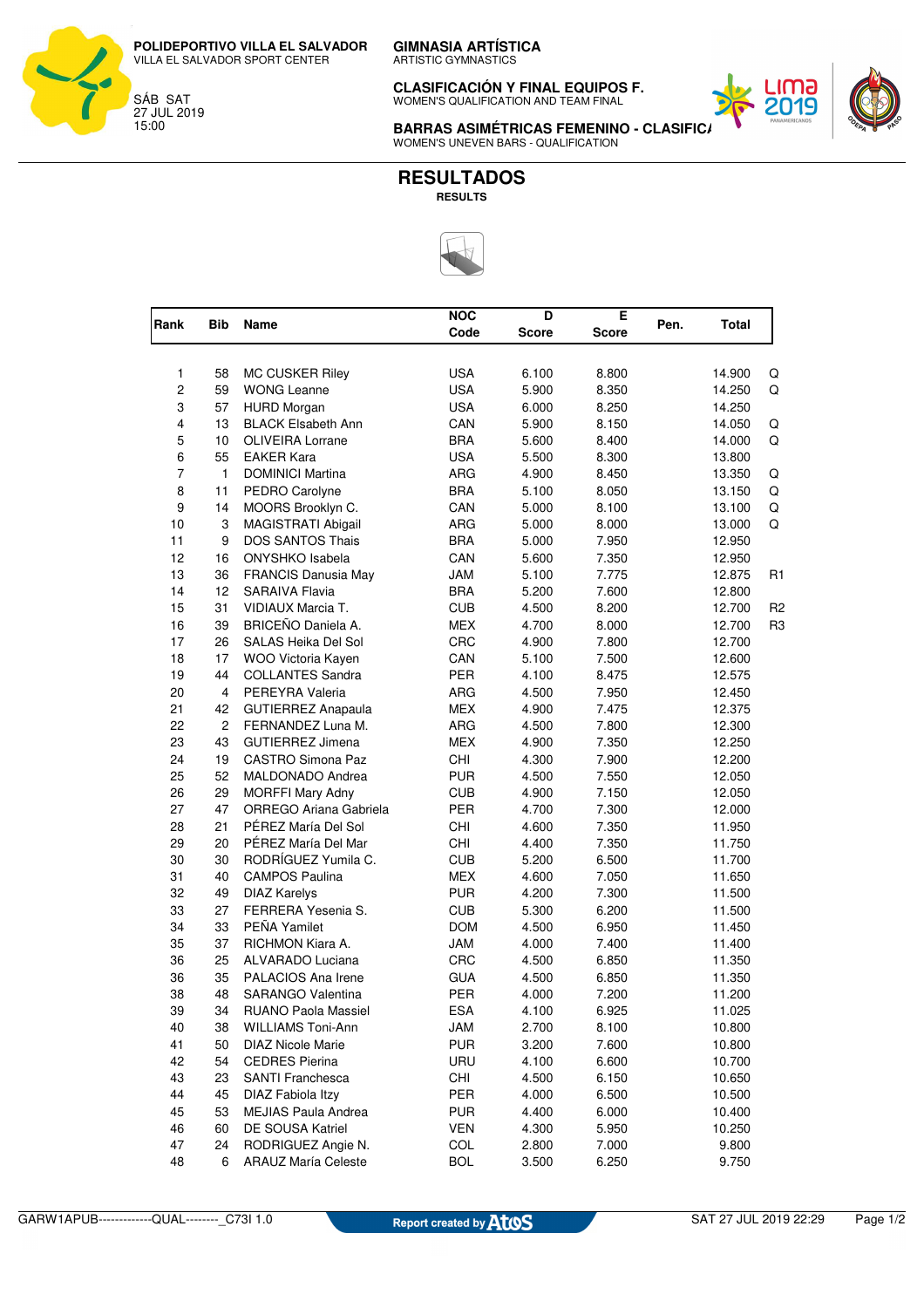**GIMNASIA ARTÍSTICA**

ARTISTIC GYMNASTICS

**CLASIFICACIÓN Y FINAL EQUIPOS F.** WOMEN'S QUALIFICATION AND TEAM FINAL



**BARRAS ASIMÉTRICAS FEMENINO - CLASIFIC** WOMEN'S UNEVEN BARS - QUALIFICATION



| Rank                    | Bib            | Name                       | <b>NOC</b> | D            | Е            | Pen. | Total  |                |
|-------------------------|----------------|----------------------------|------------|--------------|--------------|------|--------|----------------|
|                         |                |                            | Code       | <b>Score</b> | <b>Score</b> |      |        |                |
|                         |                |                            |            |              |              |      |        |                |
| 1                       | 58             | MC CUSKER Riley            | <b>USA</b> | 6.100        | 8.800        |      | 14.900 | Q              |
| $\overline{c}$          | 59             | <b>WONG Leanne</b>         | <b>USA</b> | 5.900        | 8.350        |      | 14.250 | Q              |
| 3                       | 57             | <b>HURD Morgan</b>         | <b>USA</b> | 6.000        | 8.250        |      | 14.250 |                |
| $\overline{\mathbf{4}}$ | 13             | <b>BLACK Elsabeth Ann</b>  | CAN        | 5.900        | 8.150        |      | 14.050 | Q              |
| 5                       | 10             | <b>OLIVEIRA Lorrane</b>    | <b>BRA</b> | 5.600        | 8.400        |      | 14.000 | Q              |
| 6                       | 55             | EAKER Kara                 | <b>USA</b> | 5.500        | 8.300        |      | 13.800 |                |
| $\overline{7}$          | $\mathbf{1}$   | <b>DOMINICI Martina</b>    | <b>ARG</b> | 4.900        | 8.450        |      | 13.350 | Q              |
| 8                       | 11             | PEDRO Carolyne             | <b>BRA</b> | 5.100        | 8.050        |      | 13.150 | Q              |
| 9                       | 14             | MOORS Brooklyn C.          | CAN        | 5.000        | 8.100        |      | 13.100 | Q              |
| 10                      | 3              | MAGISTRATI Abigail         | ARG        | 5.000        | 8.000        |      | 13.000 | Q              |
| 11                      | 9              | <b>DOS SANTOS Thais</b>    | <b>BRA</b> | 5.000        | 7.950        |      | 12.950 |                |
| 12                      | 16             | ONYSHKO Isabela            | CAN        | 5.600        | 7.350        |      | 12.950 |                |
| 13                      | 36             | <b>FRANCIS Danusia May</b> | JAM        | 5.100        | 7.775        |      | 12.875 | R <sub>1</sub> |
| 14                      | 12             | <b>SARAIVA Flavia</b>      | <b>BRA</b> | 5.200        | 7.600        |      | 12.800 |                |
| 15                      | 31             | VIDIAUX Marcia T.          | <b>CUB</b> | 4.500        | 8.200        |      | 12.700 | R <sub>2</sub> |
| 16                      | 39             | BRICEÑO Daniela A.         | <b>MEX</b> | 4.700        | 8.000        |      | 12.700 | R <sub>3</sub> |
| 17                      | 26             | SALAS Heika Del Sol        | <b>CRC</b> | 4.900        | 7.800        |      | 12.700 |                |
| 18                      | 17             | WOO Victoria Kayen         | CAN        | 5.100        | 7.500        |      | 12.600 |                |
| 19                      | 44             | <b>COLLANTES Sandra</b>    | PER        | 4.100        | 8.475        |      | 12.575 |                |
| 20                      | $\overline{4}$ | PEREYRA Valeria            | <b>ARG</b> | 4.500        | 7.950        |      | 12.450 |                |
| 21                      | 42             | <b>GUTIERREZ Anapaula</b>  | <b>MEX</b> | 4.900        | 7.475        |      | 12.375 |                |
| 22                      | $\overline{c}$ | FERNANDEZ Luna M.          | <b>ARG</b> | 4.500        | 7.800        |      | 12.300 |                |
| 23                      | 43             | <b>GUTIERREZ Jimena</b>    | <b>MEX</b> | 4.900        | 7.350        |      | 12.250 |                |
| 24                      | 19             | CASTRO Simona Paz          | CHI        | 4.300        | 7.900        |      | 12.200 |                |
| 25                      | 52             | MALDONADO Andrea           | <b>PUR</b> | 4.500        | 7.550        |      | 12.050 |                |
| 26                      | 29             | <b>MORFFI Mary Adny</b>    | <b>CUB</b> | 4.900        | 7.150        |      | 12.050 |                |
| 27                      | 47             | ORREGO Ariana Gabriela     | <b>PER</b> | 4.700        | 7.300        |      | 12.000 |                |
| 28                      | 21             | PÉREZ María Del Sol        | CHI        | 4.600        | 7.350        |      | 11.950 |                |
| 29                      | 20             | PÉREZ María Del Mar        | <b>CHI</b> | 4.400        | 7.350        |      | 11.750 |                |
| 30                      | 30             | RODRÍGUEZ Yumila C.        | <b>CUB</b> | 5.200        | 6.500        |      | 11.700 |                |
| 31                      | 40             | <b>CAMPOS Paulina</b>      | <b>MEX</b> | 4.600        | 7.050        |      | 11.650 |                |
| 32                      | 49             | <b>DIAZ Karelys</b>        | <b>PUR</b> | 4.200        | 7.300        |      | 11.500 |                |
| 33                      | 27             | FERRERA Yesenia S.         | <b>CUB</b> | 5.300        | 6.200        |      | 11.500 |                |
| 34                      | 33             | PEÑA Yamilet               | <b>DOM</b> | 4.500        | 6.950        |      | 11.450 |                |
| 35                      | 37             | RICHMON Kiara A.           | <b>JAM</b> | 4.000        | 7.400        |      | 11.400 |                |
| 36                      | 25             | ALVARADO Luciana           | CRC        | 4.500        | 6.850        |      | 11.350 |                |
| 36                      | 35             | PALACIOS Ana Irene         | <b>GUA</b> | 4.500        | 6.850        |      | 11.350 |                |
|                         |                |                            |            |              |              |      |        |                |
| 38                      | 48             | SARANGO Valentina          | PER        | 4.000        | 7.200        |      | 11.200 |                |
| 39                      | 34             | RUANO Paola Massiel        | ESA        | 4.100        | 6.925        |      | 11.025 |                |
| 40                      | 38             | <b>WILLIAMS Toni-Ann</b>   | JAM        | 2.700        | 8.100        |      | 10.800 |                |
| 41                      | 50             | <b>DIAZ Nicole Marie</b>   | <b>PUR</b> | 3.200        | 7.600        |      | 10.800 |                |
| 42                      | 54             | <b>CEDRES Pierina</b>      | URU        | 4.100        | 6.600        |      | 10.700 |                |
| 43                      | 23             | SANTI Franchesca           | CHI        | 4.500        | 6.150        |      | 10.650 |                |
| 44                      | 45             | DIAZ Fabiola Itzy          | <b>PER</b> | 4.000        | 6.500        |      | 10.500 |                |
| 45                      | 53             | <b>MEJIAS Paula Andrea</b> | <b>PUR</b> | 4.400        | 6.000        |      | 10.400 |                |
| 46                      | 60             | DE SOUSA Katriel           | VEN        | 4.300        | 5.950        |      | 10.250 |                |
| 47                      | 24             | RODRIGUEZ Angie N.         | <b>COL</b> | 2.800        | 7.000        |      | 9.800  |                |
| 48                      | 6              | <b>ARAUZ María Celeste</b> | <b>BOL</b> | 3.500        | 6.250        |      | 9.750  |                |

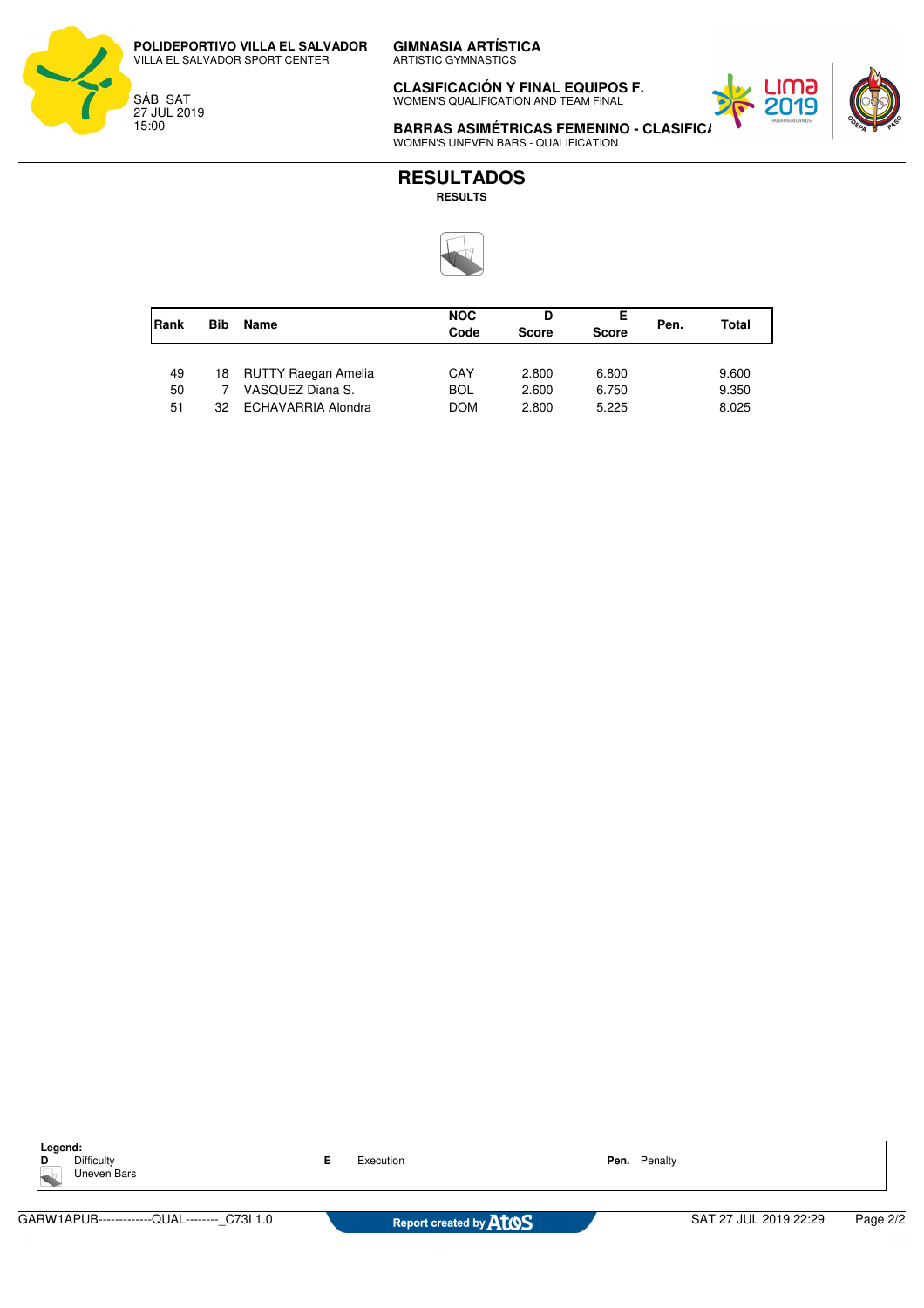**GIMNASIA ARTÍSTICA**

ARTISTIC GYMNASTICS

**CLASIFICACIÓN Y FINAL EQUIPOS F.** WOMEN'S QUALIFICATION AND TEAM FINAL



**BARRAS ASIMÉTRICAS FEMENINO - CLASIFIC** WOMEN'S UNEVEN BARS - QUALIFICATION



| Rank           | <b>Bib</b> | Name                                                                    | <b>NOC</b><br>Code              | D<br><b>Score</b>       | Е<br><b>Score</b>       | Pen. | Total                   |
|----------------|------------|-------------------------------------------------------------------------|---------------------------------|-------------------------|-------------------------|------|-------------------------|
| 49<br>50<br>51 | 32         | 18 RUTTY Raegan Amelia<br>VASQUEZ Diana S.<br><b>ECHAVARRIA Alondra</b> | CAY<br><b>BOL</b><br><b>DOM</b> | 2.800<br>2.600<br>2.800 | 6.800<br>6.750<br>5.225 |      | 9.600<br>9.350<br>8.025 |





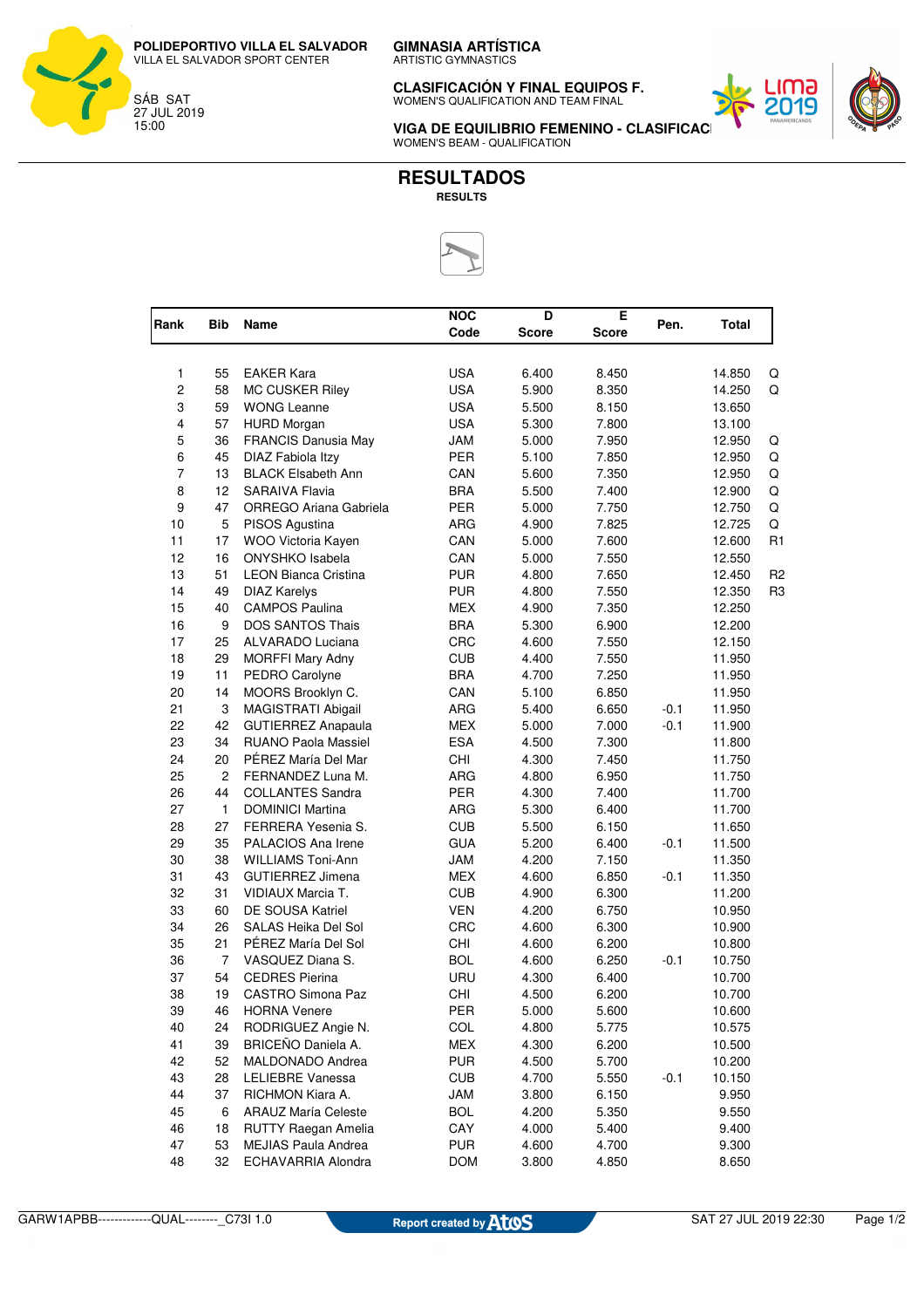**GIMNASIA ARTÍSTICA**

ARTISTIC GYMNASTICS

**CLASIFICACIÓN Y FINAL EQUIPOS F.** WOMEN'S QUALIFICATION AND TEAM FINAL





**VIGA DE EQUILIBRIO FEMENINO - CLASIFICAC** WOMEN'S BEAM - QUALIFICATION

## **RESULTADOS RESULTS**



| <b>NOC</b><br>D<br>E<br>Rank<br><b>Bib</b><br>Pen.<br>Name<br><b>Total</b><br>Code<br><b>Score</b><br><b>Score</b><br><b>USA</b><br>1<br>55<br><b>EAKER Kara</b><br>6.400<br>8.450<br>14.850<br>$\overline{c}$<br>58<br>MC CUSKER Riley<br><b>USA</b><br>5.900<br>8.350<br>14.250<br>3<br>59<br><b>USA</b><br><b>WONG Leanne</b><br>5.500<br>8.150<br>13.650<br>4<br>57<br><b>USA</b><br><b>HURD Morgan</b><br>5.300<br>7.800<br>13.100<br>5<br>36<br><b>FRANCIS Danusia May</b><br>JAM<br>5.000<br>7.950<br>12.950<br>6<br>PER<br>45<br>DIAZ Fabiola Itzy<br>5.100<br>7.850<br>12.950<br>$\overline{7}$<br>13<br><b>BLACK Elsabeth Ann</b><br>CAN<br>5.600<br>7.350<br>12.950<br>8<br>12<br><b>SARAIVA Flavia</b><br><b>BRA</b><br>5.500<br>7.400<br>12.900<br>9<br>47<br>ORREGO Ariana Gabriela<br>PER<br>7.750<br>5.000<br>12.750<br>10<br>5<br>ARG<br>4.900<br>PISOS Agustina<br>7.825<br>12.725<br>11<br>WOO Victoria Kayen<br>CAN<br>17<br>5.000<br>7.600<br>12.600<br>12<br><b>ONYSHKO Isabela</b><br>CAN<br>5.000<br>16<br>7.550<br>12.550<br>13<br><b>PUR</b><br>51<br>4.800<br>7.650<br><b>LEON Bianca Cristina</b><br>12.450<br>14<br>49<br><b>PUR</b><br>7.550<br><b>DIAZ Karelys</b><br>4.800<br>12.350<br>15<br>40<br><b>CAMPOS Paulina</b><br>MEX<br>4.900<br>12.250<br>7.350<br>16<br>9<br><b>DOS SANTOS Thais</b><br><b>BRA</b><br>5.300<br>6.900<br>12.200<br>17<br>25<br>ALVARADO Luciana<br><b>CRC</b><br>4.600<br>7.550<br>12.150<br>18<br>29<br>MORFFI Mary Adny<br><b>CUB</b><br>7.550<br>11.950<br>4.400<br>19<br>11<br>PEDRO Carolyne<br><b>BRA</b><br>4.700<br>7.250<br>11.950<br>20<br>14<br>MOORS Brooklyn C.<br>CAN<br>11.950<br>5.100<br>6.850<br>21<br>3<br>MAGISTRATI Abigail<br>$-0.1$<br>ARG<br>5.400<br>6.650<br>11.950<br>22<br>$-0.1$<br>42<br><b>MEX</b><br><b>GUTIERREZ Anapaula</b><br>5.000<br>7.000<br>11.900<br>23<br>34<br><b>RUANO Paola Massiel</b><br><b>ESA</b><br>4.500<br>7.300<br>11.800<br>24<br>20<br>PÉREZ María Del Mar<br>CHI<br>11.750<br>4.300<br>7.450<br>25<br>$\overline{c}$<br>FERNANDEZ Luna M.<br>ARG<br>4.800<br>6.950<br>11.750<br>26<br>44<br><b>COLLANTES Sandra</b><br>PER<br>4.300<br>7.400<br>11.700<br>27<br><b>DOMINICI Martina</b><br>ARG<br>1<br>5.300<br>6.400<br>11.700<br>28<br>FERRERA Yesenia S.<br><b>CUB</b><br>5.500<br>6.150<br>11.650<br>27<br>29<br>35<br>PALACIOS Ana Irene<br><b>GUA</b><br>$-0.1$<br>5.200<br>6.400<br>11.500<br>30<br>38<br><b>WILLIAMS Toni-Ann</b><br>JAM<br>11.350<br>4.200<br>7.150<br>31<br>MEX<br>$-0.1$<br>43<br><b>GUTIERREZ Jimena</b><br>4.600<br>6.850<br>11.350<br>32<br>31<br><b>CUB</b><br>VIDIAUX Marcia T.<br>4.900<br>6.300<br>11.200<br>33<br>60<br><b>DE SOUSA Katriel</b><br><b>VEN</b><br>4.200<br>6.750<br>10.950 |                |
|---------------------------------------------------------------------------------------------------------------------------------------------------------------------------------------------------------------------------------------------------------------------------------------------------------------------------------------------------------------------------------------------------------------------------------------------------------------------------------------------------------------------------------------------------------------------------------------------------------------------------------------------------------------------------------------------------------------------------------------------------------------------------------------------------------------------------------------------------------------------------------------------------------------------------------------------------------------------------------------------------------------------------------------------------------------------------------------------------------------------------------------------------------------------------------------------------------------------------------------------------------------------------------------------------------------------------------------------------------------------------------------------------------------------------------------------------------------------------------------------------------------------------------------------------------------------------------------------------------------------------------------------------------------------------------------------------------------------------------------------------------------------------------------------------------------------------------------------------------------------------------------------------------------------------------------------------------------------------------------------------------------------------------------------------------------------------------------------------------------------------------------------------------------------------------------------------------------------------------------------------------------------------------------------------------------------------------------------------------------------------------------------------------------------------------------------------------------------------------------------------------------------------------------------------------------------------------------------------------------------------------------------------------------------------------------------------------------------------------------------------|----------------|
|                                                                                                                                                                                                                                                                                                                                                                                                                                                                                                                                                                                                                                                                                                                                                                                                                                                                                                                                                                                                                                                                                                                                                                                                                                                                                                                                                                                                                                                                                                                                                                                                                                                                                                                                                                                                                                                                                                                                                                                                                                                                                                                                                                                                                                                                                                                                                                                                                                                                                                                                                                                                                                                                                                                                                   |                |
|                                                                                                                                                                                                                                                                                                                                                                                                                                                                                                                                                                                                                                                                                                                                                                                                                                                                                                                                                                                                                                                                                                                                                                                                                                                                                                                                                                                                                                                                                                                                                                                                                                                                                                                                                                                                                                                                                                                                                                                                                                                                                                                                                                                                                                                                                                                                                                                                                                                                                                                                                                                                                                                                                                                                                   |                |
|                                                                                                                                                                                                                                                                                                                                                                                                                                                                                                                                                                                                                                                                                                                                                                                                                                                                                                                                                                                                                                                                                                                                                                                                                                                                                                                                                                                                                                                                                                                                                                                                                                                                                                                                                                                                                                                                                                                                                                                                                                                                                                                                                                                                                                                                                                                                                                                                                                                                                                                                                                                                                                                                                                                                                   | Q              |
|                                                                                                                                                                                                                                                                                                                                                                                                                                                                                                                                                                                                                                                                                                                                                                                                                                                                                                                                                                                                                                                                                                                                                                                                                                                                                                                                                                                                                                                                                                                                                                                                                                                                                                                                                                                                                                                                                                                                                                                                                                                                                                                                                                                                                                                                                                                                                                                                                                                                                                                                                                                                                                                                                                                                                   | Q              |
|                                                                                                                                                                                                                                                                                                                                                                                                                                                                                                                                                                                                                                                                                                                                                                                                                                                                                                                                                                                                                                                                                                                                                                                                                                                                                                                                                                                                                                                                                                                                                                                                                                                                                                                                                                                                                                                                                                                                                                                                                                                                                                                                                                                                                                                                                                                                                                                                                                                                                                                                                                                                                                                                                                                                                   |                |
|                                                                                                                                                                                                                                                                                                                                                                                                                                                                                                                                                                                                                                                                                                                                                                                                                                                                                                                                                                                                                                                                                                                                                                                                                                                                                                                                                                                                                                                                                                                                                                                                                                                                                                                                                                                                                                                                                                                                                                                                                                                                                                                                                                                                                                                                                                                                                                                                                                                                                                                                                                                                                                                                                                                                                   |                |
|                                                                                                                                                                                                                                                                                                                                                                                                                                                                                                                                                                                                                                                                                                                                                                                                                                                                                                                                                                                                                                                                                                                                                                                                                                                                                                                                                                                                                                                                                                                                                                                                                                                                                                                                                                                                                                                                                                                                                                                                                                                                                                                                                                                                                                                                                                                                                                                                                                                                                                                                                                                                                                                                                                                                                   | Q              |
|                                                                                                                                                                                                                                                                                                                                                                                                                                                                                                                                                                                                                                                                                                                                                                                                                                                                                                                                                                                                                                                                                                                                                                                                                                                                                                                                                                                                                                                                                                                                                                                                                                                                                                                                                                                                                                                                                                                                                                                                                                                                                                                                                                                                                                                                                                                                                                                                                                                                                                                                                                                                                                                                                                                                                   | Q              |
|                                                                                                                                                                                                                                                                                                                                                                                                                                                                                                                                                                                                                                                                                                                                                                                                                                                                                                                                                                                                                                                                                                                                                                                                                                                                                                                                                                                                                                                                                                                                                                                                                                                                                                                                                                                                                                                                                                                                                                                                                                                                                                                                                                                                                                                                                                                                                                                                                                                                                                                                                                                                                                                                                                                                                   | Q              |
|                                                                                                                                                                                                                                                                                                                                                                                                                                                                                                                                                                                                                                                                                                                                                                                                                                                                                                                                                                                                                                                                                                                                                                                                                                                                                                                                                                                                                                                                                                                                                                                                                                                                                                                                                                                                                                                                                                                                                                                                                                                                                                                                                                                                                                                                                                                                                                                                                                                                                                                                                                                                                                                                                                                                                   | Q              |
|                                                                                                                                                                                                                                                                                                                                                                                                                                                                                                                                                                                                                                                                                                                                                                                                                                                                                                                                                                                                                                                                                                                                                                                                                                                                                                                                                                                                                                                                                                                                                                                                                                                                                                                                                                                                                                                                                                                                                                                                                                                                                                                                                                                                                                                                                                                                                                                                                                                                                                                                                                                                                                                                                                                                                   | Q              |
|                                                                                                                                                                                                                                                                                                                                                                                                                                                                                                                                                                                                                                                                                                                                                                                                                                                                                                                                                                                                                                                                                                                                                                                                                                                                                                                                                                                                                                                                                                                                                                                                                                                                                                                                                                                                                                                                                                                                                                                                                                                                                                                                                                                                                                                                                                                                                                                                                                                                                                                                                                                                                                                                                                                                                   | Q              |
|                                                                                                                                                                                                                                                                                                                                                                                                                                                                                                                                                                                                                                                                                                                                                                                                                                                                                                                                                                                                                                                                                                                                                                                                                                                                                                                                                                                                                                                                                                                                                                                                                                                                                                                                                                                                                                                                                                                                                                                                                                                                                                                                                                                                                                                                                                                                                                                                                                                                                                                                                                                                                                                                                                                                                   | R1             |
|                                                                                                                                                                                                                                                                                                                                                                                                                                                                                                                                                                                                                                                                                                                                                                                                                                                                                                                                                                                                                                                                                                                                                                                                                                                                                                                                                                                                                                                                                                                                                                                                                                                                                                                                                                                                                                                                                                                                                                                                                                                                                                                                                                                                                                                                                                                                                                                                                                                                                                                                                                                                                                                                                                                                                   |                |
|                                                                                                                                                                                                                                                                                                                                                                                                                                                                                                                                                                                                                                                                                                                                                                                                                                                                                                                                                                                                                                                                                                                                                                                                                                                                                                                                                                                                                                                                                                                                                                                                                                                                                                                                                                                                                                                                                                                                                                                                                                                                                                                                                                                                                                                                                                                                                                                                                                                                                                                                                                                                                                                                                                                                                   | R <sub>2</sub> |
|                                                                                                                                                                                                                                                                                                                                                                                                                                                                                                                                                                                                                                                                                                                                                                                                                                                                                                                                                                                                                                                                                                                                                                                                                                                                                                                                                                                                                                                                                                                                                                                                                                                                                                                                                                                                                                                                                                                                                                                                                                                                                                                                                                                                                                                                                                                                                                                                                                                                                                                                                                                                                                                                                                                                                   | R <sub>3</sub> |
|                                                                                                                                                                                                                                                                                                                                                                                                                                                                                                                                                                                                                                                                                                                                                                                                                                                                                                                                                                                                                                                                                                                                                                                                                                                                                                                                                                                                                                                                                                                                                                                                                                                                                                                                                                                                                                                                                                                                                                                                                                                                                                                                                                                                                                                                                                                                                                                                                                                                                                                                                                                                                                                                                                                                                   |                |
|                                                                                                                                                                                                                                                                                                                                                                                                                                                                                                                                                                                                                                                                                                                                                                                                                                                                                                                                                                                                                                                                                                                                                                                                                                                                                                                                                                                                                                                                                                                                                                                                                                                                                                                                                                                                                                                                                                                                                                                                                                                                                                                                                                                                                                                                                                                                                                                                                                                                                                                                                                                                                                                                                                                                                   |                |
|                                                                                                                                                                                                                                                                                                                                                                                                                                                                                                                                                                                                                                                                                                                                                                                                                                                                                                                                                                                                                                                                                                                                                                                                                                                                                                                                                                                                                                                                                                                                                                                                                                                                                                                                                                                                                                                                                                                                                                                                                                                                                                                                                                                                                                                                                                                                                                                                                                                                                                                                                                                                                                                                                                                                                   |                |
|                                                                                                                                                                                                                                                                                                                                                                                                                                                                                                                                                                                                                                                                                                                                                                                                                                                                                                                                                                                                                                                                                                                                                                                                                                                                                                                                                                                                                                                                                                                                                                                                                                                                                                                                                                                                                                                                                                                                                                                                                                                                                                                                                                                                                                                                                                                                                                                                                                                                                                                                                                                                                                                                                                                                                   |                |
|                                                                                                                                                                                                                                                                                                                                                                                                                                                                                                                                                                                                                                                                                                                                                                                                                                                                                                                                                                                                                                                                                                                                                                                                                                                                                                                                                                                                                                                                                                                                                                                                                                                                                                                                                                                                                                                                                                                                                                                                                                                                                                                                                                                                                                                                                                                                                                                                                                                                                                                                                                                                                                                                                                                                                   |                |
|                                                                                                                                                                                                                                                                                                                                                                                                                                                                                                                                                                                                                                                                                                                                                                                                                                                                                                                                                                                                                                                                                                                                                                                                                                                                                                                                                                                                                                                                                                                                                                                                                                                                                                                                                                                                                                                                                                                                                                                                                                                                                                                                                                                                                                                                                                                                                                                                                                                                                                                                                                                                                                                                                                                                                   |                |
|                                                                                                                                                                                                                                                                                                                                                                                                                                                                                                                                                                                                                                                                                                                                                                                                                                                                                                                                                                                                                                                                                                                                                                                                                                                                                                                                                                                                                                                                                                                                                                                                                                                                                                                                                                                                                                                                                                                                                                                                                                                                                                                                                                                                                                                                                                                                                                                                                                                                                                                                                                                                                                                                                                                                                   |                |
|                                                                                                                                                                                                                                                                                                                                                                                                                                                                                                                                                                                                                                                                                                                                                                                                                                                                                                                                                                                                                                                                                                                                                                                                                                                                                                                                                                                                                                                                                                                                                                                                                                                                                                                                                                                                                                                                                                                                                                                                                                                                                                                                                                                                                                                                                                                                                                                                                                                                                                                                                                                                                                                                                                                                                   |                |
|                                                                                                                                                                                                                                                                                                                                                                                                                                                                                                                                                                                                                                                                                                                                                                                                                                                                                                                                                                                                                                                                                                                                                                                                                                                                                                                                                                                                                                                                                                                                                                                                                                                                                                                                                                                                                                                                                                                                                                                                                                                                                                                                                                                                                                                                                                                                                                                                                                                                                                                                                                                                                                                                                                                                                   |                |
|                                                                                                                                                                                                                                                                                                                                                                                                                                                                                                                                                                                                                                                                                                                                                                                                                                                                                                                                                                                                                                                                                                                                                                                                                                                                                                                                                                                                                                                                                                                                                                                                                                                                                                                                                                                                                                                                                                                                                                                                                                                                                                                                                                                                                                                                                                                                                                                                                                                                                                                                                                                                                                                                                                                                                   |                |
|                                                                                                                                                                                                                                                                                                                                                                                                                                                                                                                                                                                                                                                                                                                                                                                                                                                                                                                                                                                                                                                                                                                                                                                                                                                                                                                                                                                                                                                                                                                                                                                                                                                                                                                                                                                                                                                                                                                                                                                                                                                                                                                                                                                                                                                                                                                                                                                                                                                                                                                                                                                                                                                                                                                                                   |                |
|                                                                                                                                                                                                                                                                                                                                                                                                                                                                                                                                                                                                                                                                                                                                                                                                                                                                                                                                                                                                                                                                                                                                                                                                                                                                                                                                                                                                                                                                                                                                                                                                                                                                                                                                                                                                                                                                                                                                                                                                                                                                                                                                                                                                                                                                                                                                                                                                                                                                                                                                                                                                                                                                                                                                                   |                |
|                                                                                                                                                                                                                                                                                                                                                                                                                                                                                                                                                                                                                                                                                                                                                                                                                                                                                                                                                                                                                                                                                                                                                                                                                                                                                                                                                                                                                                                                                                                                                                                                                                                                                                                                                                                                                                                                                                                                                                                                                                                                                                                                                                                                                                                                                                                                                                                                                                                                                                                                                                                                                                                                                                                                                   |                |
|                                                                                                                                                                                                                                                                                                                                                                                                                                                                                                                                                                                                                                                                                                                                                                                                                                                                                                                                                                                                                                                                                                                                                                                                                                                                                                                                                                                                                                                                                                                                                                                                                                                                                                                                                                                                                                                                                                                                                                                                                                                                                                                                                                                                                                                                                                                                                                                                                                                                                                                                                                                                                                                                                                                                                   |                |
|                                                                                                                                                                                                                                                                                                                                                                                                                                                                                                                                                                                                                                                                                                                                                                                                                                                                                                                                                                                                                                                                                                                                                                                                                                                                                                                                                                                                                                                                                                                                                                                                                                                                                                                                                                                                                                                                                                                                                                                                                                                                                                                                                                                                                                                                                                                                                                                                                                                                                                                                                                                                                                                                                                                                                   |                |
|                                                                                                                                                                                                                                                                                                                                                                                                                                                                                                                                                                                                                                                                                                                                                                                                                                                                                                                                                                                                                                                                                                                                                                                                                                                                                                                                                                                                                                                                                                                                                                                                                                                                                                                                                                                                                                                                                                                                                                                                                                                                                                                                                                                                                                                                                                                                                                                                                                                                                                                                                                                                                                                                                                                                                   |                |
|                                                                                                                                                                                                                                                                                                                                                                                                                                                                                                                                                                                                                                                                                                                                                                                                                                                                                                                                                                                                                                                                                                                                                                                                                                                                                                                                                                                                                                                                                                                                                                                                                                                                                                                                                                                                                                                                                                                                                                                                                                                                                                                                                                                                                                                                                                                                                                                                                                                                                                                                                                                                                                                                                                                                                   |                |
|                                                                                                                                                                                                                                                                                                                                                                                                                                                                                                                                                                                                                                                                                                                                                                                                                                                                                                                                                                                                                                                                                                                                                                                                                                                                                                                                                                                                                                                                                                                                                                                                                                                                                                                                                                                                                                                                                                                                                                                                                                                                                                                                                                                                                                                                                                                                                                                                                                                                                                                                                                                                                                                                                                                                                   |                |
|                                                                                                                                                                                                                                                                                                                                                                                                                                                                                                                                                                                                                                                                                                                                                                                                                                                                                                                                                                                                                                                                                                                                                                                                                                                                                                                                                                                                                                                                                                                                                                                                                                                                                                                                                                                                                                                                                                                                                                                                                                                                                                                                                                                                                                                                                                                                                                                                                                                                                                                                                                                                                                                                                                                                                   |                |
|                                                                                                                                                                                                                                                                                                                                                                                                                                                                                                                                                                                                                                                                                                                                                                                                                                                                                                                                                                                                                                                                                                                                                                                                                                                                                                                                                                                                                                                                                                                                                                                                                                                                                                                                                                                                                                                                                                                                                                                                                                                                                                                                                                                                                                                                                                                                                                                                                                                                                                                                                                                                                                                                                                                                                   |                |
| 34<br>26<br>SALAS Heika Del Sol<br><b>CRC</b><br>4.600<br>6.300<br>10.900                                                                                                                                                                                                                                                                                                                                                                                                                                                                                                                                                                                                                                                                                                                                                                                                                                                                                                                                                                                                                                                                                                                                                                                                                                                                                                                                                                                                                                                                                                                                                                                                                                                                                                                                                                                                                                                                                                                                                                                                                                                                                                                                                                                                                                                                                                                                                                                                                                                                                                                                                                                                                                                                         |                |
| 35<br>21<br>PÉREZ María Del Sol<br>CHI<br>4.600<br>6.200<br>10.800                                                                                                                                                                                                                                                                                                                                                                                                                                                                                                                                                                                                                                                                                                                                                                                                                                                                                                                                                                                                                                                                                                                                                                                                                                                                                                                                                                                                                                                                                                                                                                                                                                                                                                                                                                                                                                                                                                                                                                                                                                                                                                                                                                                                                                                                                                                                                                                                                                                                                                                                                                                                                                                                                |                |
| 36<br>VASQUEZ Diana S.<br><b>BOL</b><br>$-0.1$<br>7<br>4.600<br>6.250<br>10.750                                                                                                                                                                                                                                                                                                                                                                                                                                                                                                                                                                                                                                                                                                                                                                                                                                                                                                                                                                                                                                                                                                                                                                                                                                                                                                                                                                                                                                                                                                                                                                                                                                                                                                                                                                                                                                                                                                                                                                                                                                                                                                                                                                                                                                                                                                                                                                                                                                                                                                                                                                                                                                                                   |                |
| 37<br>54<br><b>CEDRES Pierina</b><br>URU<br>4.300<br>6.400<br>10.700                                                                                                                                                                                                                                                                                                                                                                                                                                                                                                                                                                                                                                                                                                                                                                                                                                                                                                                                                                                                                                                                                                                                                                                                                                                                                                                                                                                                                                                                                                                                                                                                                                                                                                                                                                                                                                                                                                                                                                                                                                                                                                                                                                                                                                                                                                                                                                                                                                                                                                                                                                                                                                                                              |                |
| 38<br>19<br>6.200<br><b>CASTRO Simona Paz</b><br>CHI<br>4.500<br>10.700                                                                                                                                                                                                                                                                                                                                                                                                                                                                                                                                                                                                                                                                                                                                                                                                                                                                                                                                                                                                                                                                                                                                                                                                                                                                                                                                                                                                                                                                                                                                                                                                                                                                                                                                                                                                                                                                                                                                                                                                                                                                                                                                                                                                                                                                                                                                                                                                                                                                                                                                                                                                                                                                           |                |
| 39<br>46<br><b>HORNA Venere</b><br>PER<br>5.000<br>5.600<br>10.600                                                                                                                                                                                                                                                                                                                                                                                                                                                                                                                                                                                                                                                                                                                                                                                                                                                                                                                                                                                                                                                                                                                                                                                                                                                                                                                                                                                                                                                                                                                                                                                                                                                                                                                                                                                                                                                                                                                                                                                                                                                                                                                                                                                                                                                                                                                                                                                                                                                                                                                                                                                                                                                                                |                |
| 40<br>24<br>COL<br>4.800<br>RODRIGUEZ Angie N.<br>5.775<br>10.575                                                                                                                                                                                                                                                                                                                                                                                                                                                                                                                                                                                                                                                                                                                                                                                                                                                                                                                                                                                                                                                                                                                                                                                                                                                                                                                                                                                                                                                                                                                                                                                                                                                                                                                                                                                                                                                                                                                                                                                                                                                                                                                                                                                                                                                                                                                                                                                                                                                                                                                                                                                                                                                                                 |                |
| 41<br>39<br>BRICEÑO Daniela A.<br><b>MEX</b><br>4.300<br>6.200<br>10.500                                                                                                                                                                                                                                                                                                                                                                                                                                                                                                                                                                                                                                                                                                                                                                                                                                                                                                                                                                                                                                                                                                                                                                                                                                                                                                                                                                                                                                                                                                                                                                                                                                                                                                                                                                                                                                                                                                                                                                                                                                                                                                                                                                                                                                                                                                                                                                                                                                                                                                                                                                                                                                                                          |                |
| 42<br>52<br><b>PUR</b><br>MALDONADO Andrea<br>4.500<br>5.700<br>10.200                                                                                                                                                                                                                                                                                                                                                                                                                                                                                                                                                                                                                                                                                                                                                                                                                                                                                                                                                                                                                                                                                                                                                                                                                                                                                                                                                                                                                                                                                                                                                                                                                                                                                                                                                                                                                                                                                                                                                                                                                                                                                                                                                                                                                                                                                                                                                                                                                                                                                                                                                                                                                                                                            |                |
| 43<br>28<br>LELIEBRE Vanessa<br><b>CUB</b><br>$-0.1$<br>4.700<br>5.550<br>10.150                                                                                                                                                                                                                                                                                                                                                                                                                                                                                                                                                                                                                                                                                                                                                                                                                                                                                                                                                                                                                                                                                                                                                                                                                                                                                                                                                                                                                                                                                                                                                                                                                                                                                                                                                                                                                                                                                                                                                                                                                                                                                                                                                                                                                                                                                                                                                                                                                                                                                                                                                                                                                                                                  |                |
| 44<br>37<br>RICHMON Kiara A.<br>JAM<br>3.800<br>6.150<br>9.950                                                                                                                                                                                                                                                                                                                                                                                                                                                                                                                                                                                                                                                                                                                                                                                                                                                                                                                                                                                                                                                                                                                                                                                                                                                                                                                                                                                                                                                                                                                                                                                                                                                                                                                                                                                                                                                                                                                                                                                                                                                                                                                                                                                                                                                                                                                                                                                                                                                                                                                                                                                                                                                                                    |                |
| 45<br>6<br><b>ARAUZ María Celeste</b><br><b>BOL</b><br>4.200<br>5.350<br>9.550                                                                                                                                                                                                                                                                                                                                                                                                                                                                                                                                                                                                                                                                                                                                                                                                                                                                                                                                                                                                                                                                                                                                                                                                                                                                                                                                                                                                                                                                                                                                                                                                                                                                                                                                                                                                                                                                                                                                                                                                                                                                                                                                                                                                                                                                                                                                                                                                                                                                                                                                                                                                                                                                    |                |
| 46<br>18<br>RUTTY Raegan Amelia<br>CAY<br>4.000<br>5.400<br>9.400                                                                                                                                                                                                                                                                                                                                                                                                                                                                                                                                                                                                                                                                                                                                                                                                                                                                                                                                                                                                                                                                                                                                                                                                                                                                                                                                                                                                                                                                                                                                                                                                                                                                                                                                                                                                                                                                                                                                                                                                                                                                                                                                                                                                                                                                                                                                                                                                                                                                                                                                                                                                                                                                                 |                |
| 47<br>53<br>MEJIAS Paula Andrea<br><b>PUR</b><br>4.600<br>4.700<br>9.300                                                                                                                                                                                                                                                                                                                                                                                                                                                                                                                                                                                                                                                                                                                                                                                                                                                                                                                                                                                                                                                                                                                                                                                                                                                                                                                                                                                                                                                                                                                                                                                                                                                                                                                                                                                                                                                                                                                                                                                                                                                                                                                                                                                                                                                                                                                                                                                                                                                                                                                                                                                                                                                                          |                |
| 48<br>32<br><b>ECHAVARRIA Alondra</b><br><b>DOM</b><br>3.800<br>4.850<br>8.650                                                                                                                                                                                                                                                                                                                                                                                                                                                                                                                                                                                                                                                                                                                                                                                                                                                                                                                                                                                                                                                                                                                                                                                                                                                                                                                                                                                                                                                                                                                                                                                                                                                                                                                                                                                                                                                                                                                                                                                                                                                                                                                                                                                                                                                                                                                                                                                                                                                                                                                                                                                                                                                                    |                |



GARW1APBB-------------QUAL--------\_C73I 1.0 Report created by **AtoS** SAT 27 JUL 2019 22:30 Page 1/2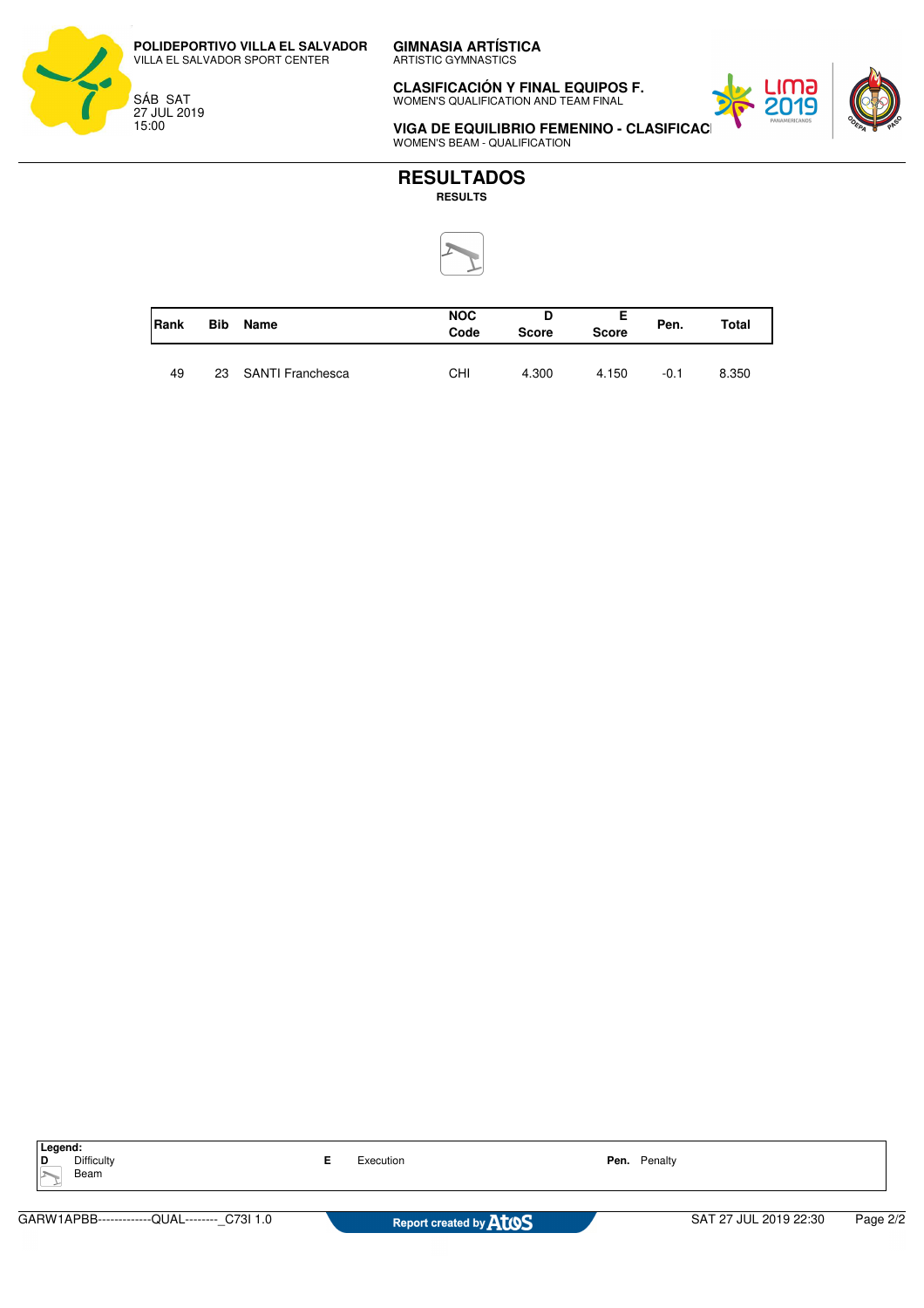**GIMNASIA ARTÍSTICA** ARTISTIC GYMNASTICS

**POLIDEPORTIVO VILLA EL SALVADOR** VILLA EL SALVADOR SPORT CENTER

SÁB SAT 27 JUL 2019 15:00

**CLASIFICACIÓN Y FINAL EQUIPOS F.** WOMEN'S QUALIFICATION AND TEAM FINAL



**VIGA DE EQUILIBRIO FEMENINO - CLASIFICAC** WOMEN'S BEAM - QUALIFICATION



| Rank | <b>Bib</b> | Name             | <b>NOC</b><br>Code | <b>Score</b> | <b>Score</b> | Pen.   | Total |
|------|------------|------------------|--------------------|--------------|--------------|--------|-------|
| 49   | 23         | SANTI Franchesca | CHI                | 4.300        | 4.150        | $-0.1$ | 8.350 |

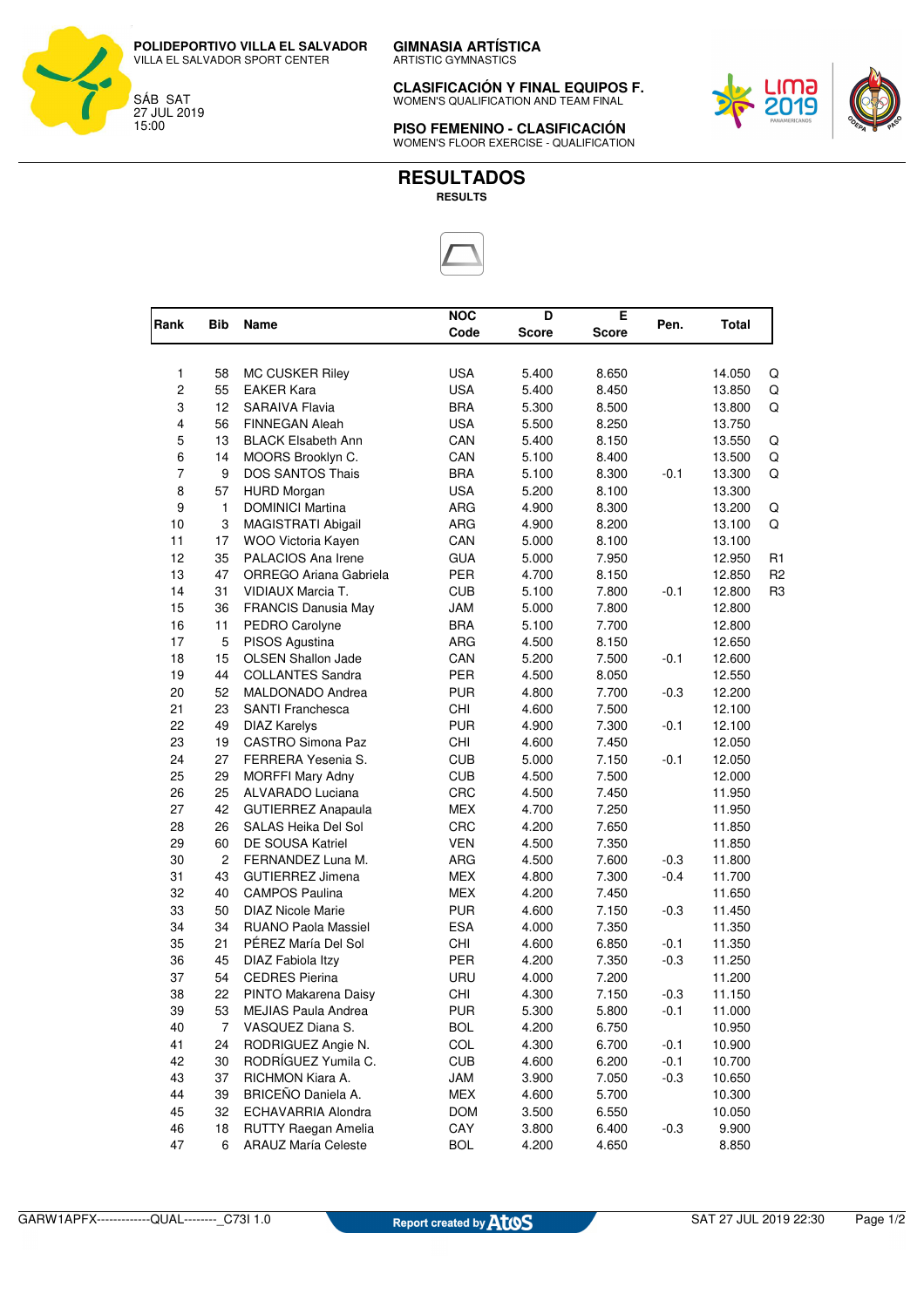**GIMNASIA ARTÍSTICA** ARTISTIC GYMNASTICS

**CLASIFICACIÓN Y FINAL EQUIPOS F.** WOMEN'S QUALIFICATION AND TEAM FINAL







| <b>Bib</b><br>Rank<br>Name<br>Pen.<br>Code<br><b>Score</b><br>Score<br><b>USA</b><br>1<br>58<br>MC CUSKER Riley<br>5.400<br>8.650<br>$\overline{c}$<br><b>USA</b><br>55<br>5.400<br><b>EAKER Kara</b><br>8.450<br>3<br>12<br><b>SARAIVA Flavia</b><br><b>BRA</b><br>5.300<br>8.500<br>$\overline{\mathbf{4}}$<br>56<br><b>USA</b><br><b>FINNEGAN Aleah</b><br>5.500<br>8.250<br>5<br>CAN<br>13<br><b>BLACK Elsabeth Ann</b><br>5.400<br>8.150<br>6<br>CAN<br>14<br>MOORS Brooklyn C.<br>5.100<br>8.400<br>$\overline{7}$<br>9<br>DOS SANTOS Thais<br><b>BRA</b><br>$-0.1$<br>5.100<br>8.300<br>8<br>57<br><b>HURD Morgan</b><br><b>USA</b><br>5.200<br>8.100<br>9<br>$\mathbf{1}$<br><b>DOMINICI Martina</b><br><b>ARG</b><br>4.900<br>8.300<br>3<br>10<br><b>ARG</b><br>MAGISTRATI Abigail<br>4.900<br>8.200<br>11<br>CAN<br>17<br>WOO Victoria Kayen<br>5.000<br>8.100<br>12<br>35<br>PALACIOS Ana Irene<br><b>GUA</b><br>5.000<br>7.950<br>13<br>47<br><b>PER</b><br>ORREGO Ariana Gabriela<br>4.700<br>8.150<br>14<br>31<br><b>CUB</b><br>$-0.1$<br>VIDIAUX Marcia T.<br>5.100<br>7.800<br>15<br>36<br><b>FRANCIS Danusia May</b><br><b>JAM</b><br>5.000<br>7.800<br>16<br><b>BRA</b><br>11<br>PEDRO Carolyne<br>5.100<br>7.700<br>5<br>17<br>PISOS Agustina<br>ARG<br>4.500<br>8.150<br>18<br>15<br>OLSEN Shallon Jade<br>CAN<br>5.200<br>7.500<br>$-0.1$<br>19<br>44<br><b>COLLANTES Sandra</b><br><b>PER</b><br>4.500<br>8.050 | Total<br>14.050<br>Q<br>13.850<br>Q |
|---------------------------------------------------------------------------------------------------------------------------------------------------------------------------------------------------------------------------------------------------------------------------------------------------------------------------------------------------------------------------------------------------------------------------------------------------------------------------------------------------------------------------------------------------------------------------------------------------------------------------------------------------------------------------------------------------------------------------------------------------------------------------------------------------------------------------------------------------------------------------------------------------------------------------------------------------------------------------------------------------------------------------------------------------------------------------------------------------------------------------------------------------------------------------------------------------------------------------------------------------------------------------------------------------------------------------------------------------------------------------------------------------------------------------------------|-------------------------------------|
|                                                                                                                                                                                                                                                                                                                                                                                                                                                                                                                                                                                                                                                                                                                                                                                                                                                                                                                                                                                                                                                                                                                                                                                                                                                                                                                                                                                                                                       |                                     |
|                                                                                                                                                                                                                                                                                                                                                                                                                                                                                                                                                                                                                                                                                                                                                                                                                                                                                                                                                                                                                                                                                                                                                                                                                                                                                                                                                                                                                                       |                                     |
|                                                                                                                                                                                                                                                                                                                                                                                                                                                                                                                                                                                                                                                                                                                                                                                                                                                                                                                                                                                                                                                                                                                                                                                                                                                                                                                                                                                                                                       |                                     |
|                                                                                                                                                                                                                                                                                                                                                                                                                                                                                                                                                                                                                                                                                                                                                                                                                                                                                                                                                                                                                                                                                                                                                                                                                                                                                                                                                                                                                                       | Q<br>13.800                         |
|                                                                                                                                                                                                                                                                                                                                                                                                                                                                                                                                                                                                                                                                                                                                                                                                                                                                                                                                                                                                                                                                                                                                                                                                                                                                                                                                                                                                                                       | 13.750                              |
|                                                                                                                                                                                                                                                                                                                                                                                                                                                                                                                                                                                                                                                                                                                                                                                                                                                                                                                                                                                                                                                                                                                                                                                                                                                                                                                                                                                                                                       | 13.550<br>Q                         |
|                                                                                                                                                                                                                                                                                                                                                                                                                                                                                                                                                                                                                                                                                                                                                                                                                                                                                                                                                                                                                                                                                                                                                                                                                                                                                                                                                                                                                                       | Q<br>13.500                         |
|                                                                                                                                                                                                                                                                                                                                                                                                                                                                                                                                                                                                                                                                                                                                                                                                                                                                                                                                                                                                                                                                                                                                                                                                                                                                                                                                                                                                                                       | 13.300<br>Q                         |
|                                                                                                                                                                                                                                                                                                                                                                                                                                                                                                                                                                                                                                                                                                                                                                                                                                                                                                                                                                                                                                                                                                                                                                                                                                                                                                                                                                                                                                       | 13.300                              |
|                                                                                                                                                                                                                                                                                                                                                                                                                                                                                                                                                                                                                                                                                                                                                                                                                                                                                                                                                                                                                                                                                                                                                                                                                                                                                                                                                                                                                                       | 13.200<br>Q                         |
|                                                                                                                                                                                                                                                                                                                                                                                                                                                                                                                                                                                                                                                                                                                                                                                                                                                                                                                                                                                                                                                                                                                                                                                                                                                                                                                                                                                                                                       | Q<br>13.100                         |
|                                                                                                                                                                                                                                                                                                                                                                                                                                                                                                                                                                                                                                                                                                                                                                                                                                                                                                                                                                                                                                                                                                                                                                                                                                                                                                                                                                                                                                       | 13.100                              |
|                                                                                                                                                                                                                                                                                                                                                                                                                                                                                                                                                                                                                                                                                                                                                                                                                                                                                                                                                                                                                                                                                                                                                                                                                                                                                                                                                                                                                                       | R <sub>1</sub><br>12.950            |
|                                                                                                                                                                                                                                                                                                                                                                                                                                                                                                                                                                                                                                                                                                                                                                                                                                                                                                                                                                                                                                                                                                                                                                                                                                                                                                                                                                                                                                       | R <sub>2</sub><br>12.850            |
|                                                                                                                                                                                                                                                                                                                                                                                                                                                                                                                                                                                                                                                                                                                                                                                                                                                                                                                                                                                                                                                                                                                                                                                                                                                                                                                                                                                                                                       | 12.800<br>R <sub>3</sub>            |
|                                                                                                                                                                                                                                                                                                                                                                                                                                                                                                                                                                                                                                                                                                                                                                                                                                                                                                                                                                                                                                                                                                                                                                                                                                                                                                                                                                                                                                       | 12.800                              |
|                                                                                                                                                                                                                                                                                                                                                                                                                                                                                                                                                                                                                                                                                                                                                                                                                                                                                                                                                                                                                                                                                                                                                                                                                                                                                                                                                                                                                                       | 12.800                              |
|                                                                                                                                                                                                                                                                                                                                                                                                                                                                                                                                                                                                                                                                                                                                                                                                                                                                                                                                                                                                                                                                                                                                                                                                                                                                                                                                                                                                                                       | 12.650                              |
|                                                                                                                                                                                                                                                                                                                                                                                                                                                                                                                                                                                                                                                                                                                                                                                                                                                                                                                                                                                                                                                                                                                                                                                                                                                                                                                                                                                                                                       | 12.600                              |
|                                                                                                                                                                                                                                                                                                                                                                                                                                                                                                                                                                                                                                                                                                                                                                                                                                                                                                                                                                                                                                                                                                                                                                                                                                                                                                                                                                                                                                       | 12.550                              |
| 20<br>52<br>MALDONADO Andrea<br><b>PUR</b><br>4.800<br>7.700<br>$-0.3$                                                                                                                                                                                                                                                                                                                                                                                                                                                                                                                                                                                                                                                                                                                                                                                                                                                                                                                                                                                                                                                                                                                                                                                                                                                                                                                                                                | 12.200                              |
| 21<br>23<br><b>SANTI Franchesca</b><br><b>CHI</b><br>4.600<br>7.500                                                                                                                                                                                                                                                                                                                                                                                                                                                                                                                                                                                                                                                                                                                                                                                                                                                                                                                                                                                                                                                                                                                                                                                                                                                                                                                                                                   | 12.100                              |
| 22<br>49<br><b>DIAZ Karelys</b><br><b>PUR</b><br>$-0.1$<br>4.900<br>7.300                                                                                                                                                                                                                                                                                                                                                                                                                                                                                                                                                                                                                                                                                                                                                                                                                                                                                                                                                                                                                                                                                                                                                                                                                                                                                                                                                             | 12.100                              |
| 23<br>19<br><b>CASTRO Simona Paz</b><br>CHI<br>4.600<br>7.450                                                                                                                                                                                                                                                                                                                                                                                                                                                                                                                                                                                                                                                                                                                                                                                                                                                                                                                                                                                                                                                                                                                                                                                                                                                                                                                                                                         | 12.050                              |
| 24<br>27<br>FERRERA Yesenia S.<br><b>CUB</b><br>$-0.1$<br>5.000<br>7.150                                                                                                                                                                                                                                                                                                                                                                                                                                                                                                                                                                                                                                                                                                                                                                                                                                                                                                                                                                                                                                                                                                                                                                                                                                                                                                                                                              | 12.050                              |
| 25<br>29<br><b>CUB</b><br><b>MORFFI Mary Adny</b><br>4.500<br>7.500                                                                                                                                                                                                                                                                                                                                                                                                                                                                                                                                                                                                                                                                                                                                                                                                                                                                                                                                                                                                                                                                                                                                                                                                                                                                                                                                                                   | 12.000                              |
| 26<br>25<br>CRC<br>ALVARADO Luciana<br>4.500<br>7.450                                                                                                                                                                                                                                                                                                                                                                                                                                                                                                                                                                                                                                                                                                                                                                                                                                                                                                                                                                                                                                                                                                                                                                                                                                                                                                                                                                                 | 11.950                              |
| 27<br>42<br>MEX<br>4.700<br>7.250<br><b>GUTIERREZ Anapaula</b>                                                                                                                                                                                                                                                                                                                                                                                                                                                                                                                                                                                                                                                                                                                                                                                                                                                                                                                                                                                                                                                                                                                                                                                                                                                                                                                                                                        | 11.950                              |
| 28<br>26<br>SALAS Heika Del Sol<br>CRC<br>4.200<br>7.650                                                                                                                                                                                                                                                                                                                                                                                                                                                                                                                                                                                                                                                                                                                                                                                                                                                                                                                                                                                                                                                                                                                                                                                                                                                                                                                                                                              | 11.850                              |
| 29<br>60<br><b>DE SOUSA Katriel</b><br><b>VEN</b><br>4.500<br>7.350                                                                                                                                                                                                                                                                                                                                                                                                                                                                                                                                                                                                                                                                                                                                                                                                                                                                                                                                                                                                                                                                                                                                                                                                                                                                                                                                                                   | 11.850                              |
| 30<br>$\mathbf{2}$<br>FERNANDEZ Luna M.<br><b>ARG</b><br>7.600<br>$-0.3$<br>4.500                                                                                                                                                                                                                                                                                                                                                                                                                                                                                                                                                                                                                                                                                                                                                                                                                                                                                                                                                                                                                                                                                                                                                                                                                                                                                                                                                     | 11.800                              |
| 31<br><b>GUTIERREZ Jimena</b><br>$-0.4$<br>43<br><b>MEX</b><br>4.800<br>7.300                                                                                                                                                                                                                                                                                                                                                                                                                                                                                                                                                                                                                                                                                                                                                                                                                                                                                                                                                                                                                                                                                                                                                                                                                                                                                                                                                         | 11.700                              |
| 32<br>40<br><b>CAMPOS Paulina</b><br>MEX<br>4.200<br>7.450                                                                                                                                                                                                                                                                                                                                                                                                                                                                                                                                                                                                                                                                                                                                                                                                                                                                                                                                                                                                                                                                                                                                                                                                                                                                                                                                                                            | 11.650                              |
| 33<br>50<br><b>PUR</b><br>$-0.3$<br><b>DIAZ Nicole Marie</b><br>4.600<br>7.150                                                                                                                                                                                                                                                                                                                                                                                                                                                                                                                                                                                                                                                                                                                                                                                                                                                                                                                                                                                                                                                                                                                                                                                                                                                                                                                                                        | 11.450                              |
| 34<br><b>ESA</b><br>34<br><b>RUANO Paola Massiel</b><br>4.000<br>7.350                                                                                                                                                                                                                                                                                                                                                                                                                                                                                                                                                                                                                                                                                                                                                                                                                                                                                                                                                                                                                                                                                                                                                                                                                                                                                                                                                                | 11.350                              |
| 35<br>21<br>PÉREZ María Del Sol<br>CHI<br>4.600<br>6.850<br>$-0.1$                                                                                                                                                                                                                                                                                                                                                                                                                                                                                                                                                                                                                                                                                                                                                                                                                                                                                                                                                                                                                                                                                                                                                                                                                                                                                                                                                                    | 11.350                              |
| 36<br>45<br>PER<br>$-0.3$<br>DIAZ Fabiola Itzy<br>4.200<br>7.350                                                                                                                                                                                                                                                                                                                                                                                                                                                                                                                                                                                                                                                                                                                                                                                                                                                                                                                                                                                                                                                                                                                                                                                                                                                                                                                                                                      | 11.250                              |
| 37<br>54<br><b>CEDRES Pierina</b><br>URU<br>4.000<br>7.200                                                                                                                                                                                                                                                                                                                                                                                                                                                                                                                                                                                                                                                                                                                                                                                                                                                                                                                                                                                                                                                                                                                                                                                                                                                                                                                                                                            | 11.200                              |
| 38<br>22<br>CHI<br>4.300<br>7.150<br>PINTO Makarena Daisy<br>$-0.3$                                                                                                                                                                                                                                                                                                                                                                                                                                                                                                                                                                                                                                                                                                                                                                                                                                                                                                                                                                                                                                                                                                                                                                                                                                                                                                                                                                   | 11.150                              |
| 39<br><b>MEJIAS Paula Andrea</b><br><b>PUR</b><br>5.300<br>$-0.1$<br>53<br>5.800                                                                                                                                                                                                                                                                                                                                                                                                                                                                                                                                                                                                                                                                                                                                                                                                                                                                                                                                                                                                                                                                                                                                                                                                                                                                                                                                                      | 11.000                              |
| 40<br>$\overline{7}$<br><b>BOL</b><br>4.200<br>6.750<br>VASQUEZ Diana S.                                                                                                                                                                                                                                                                                                                                                                                                                                                                                                                                                                                                                                                                                                                                                                                                                                                                                                                                                                                                                                                                                                                                                                                                                                                                                                                                                              | 10.950                              |
| 41<br>24<br>RODRIGUEZ Angie N.<br>COL<br>4.300<br>6.700<br>$-0.1$                                                                                                                                                                                                                                                                                                                                                                                                                                                                                                                                                                                                                                                                                                                                                                                                                                                                                                                                                                                                                                                                                                                                                                                                                                                                                                                                                                     | 10.900                              |
| 42<br>30<br>RODRÍGUEZ Yumila C.<br><b>CUB</b><br>$-0.1$<br>4.600<br>6.200                                                                                                                                                                                                                                                                                                                                                                                                                                                                                                                                                                                                                                                                                                                                                                                                                                                                                                                                                                                                                                                                                                                                                                                                                                                                                                                                                             | 10.700                              |
| 43<br>37<br>RICHMON Kiara A.<br>JAM<br>$-0.3$<br>3.900<br>7.050                                                                                                                                                                                                                                                                                                                                                                                                                                                                                                                                                                                                                                                                                                                                                                                                                                                                                                                                                                                                                                                                                                                                                                                                                                                                                                                                                                       | 10.650                              |
| BRICEÑO Daniela A.<br>44<br>39<br>MEX<br>4.600<br>5.700                                                                                                                                                                                                                                                                                                                                                                                                                                                                                                                                                                                                                                                                                                                                                                                                                                                                                                                                                                                                                                                                                                                                                                                                                                                                                                                                                                               | 10.300                              |
| 45<br>32<br>ECHAVARRIA Alondra<br><b>DOM</b><br>3.500<br>6.550                                                                                                                                                                                                                                                                                                                                                                                                                                                                                                                                                                                                                                                                                                                                                                                                                                                                                                                                                                                                                                                                                                                                                                                                                                                                                                                                                                        | 10.050                              |
| 46<br>18<br>RUTTY Raegan Amelia<br>$-0.3$<br>CAY<br>3.800<br>6.400                                                                                                                                                                                                                                                                                                                                                                                                                                                                                                                                                                                                                                                                                                                                                                                                                                                                                                                                                                                                                                                                                                                                                                                                                                                                                                                                                                    |                                     |
| 47<br>6<br><b>ARAUZ María Celeste</b><br><b>BOL</b><br>4.200<br>4.650                                                                                                                                                                                                                                                                                                                                                                                                                                                                                                                                                                                                                                                                                                                                                                                                                                                                                                                                                                                                                                                                                                                                                                                                                                                                                                                                                                 | 9.900                               |